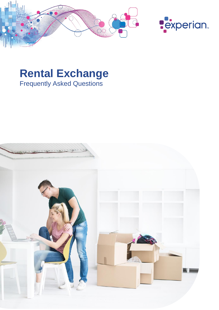



# **Rental Exchange**  Frequently Asked Questions

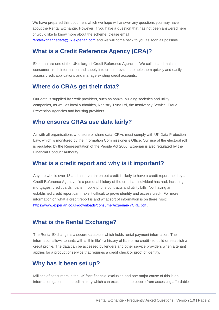We have prepared this document which we hope will answer any questions you may have about the Rental Exchange. However, if you have a question that has not been answered here or would like to know more about the scheme, please email [rentalexchangedata@uk.experian.com](mailto:rentalexchangedata@uk.experian.com) and we will come back to you as soon as possible.

# **What is a Credit Reference Agency (CRA)?**

Experian are one of the UK's largest Credit Reference Agencies. We collect and maintain consumer credit information and supply it to credit providers to help them quickly and easily assess credit applications and manage existing credit accounts.

#### **Where do CRAs get their data?**

Our data is supplied by credit providers, such as banks, building societies and utility companies, as well as local authorities, Registry Trust Ltd, the Insolvency Service, Fraud Prevention Agencies and housing providers.

#### **Who ensures CRAs use data fairly?**

As with all organisations who store or share data, CRAs must comply with UK Data Protection Law, which is monitored by the Information Commissioner's Office. Our use of the electoral roll is regulated by the Representation of the People Act 2000. Experian is also regulated by the Financial Conduct Authority.

## **What is a credit report and why is it important?**

Anyone who is over 18 and has ever taken out credit is likely to have a credit report, held by a Credit Reference Agency. It's a personal history of the credit an individual has had, including mortgages, credit cards, loans, mobile phone contracts and utility bills. Not having an established credit report can make it difficult to prove identity and access credit. For more information on what a credit report is and what sort of information is on there, visit: <https://www.experian.co.uk/downloads/consumer/experian-YCRE.pdf> .

## **What is the Rental Exchange?**

The Rental Exchange is a secure database which holds rental payment information. The information allows tenants with a 'thin file' - a history of little or no credit - to build or establish a credit profile. The data can be accessed by lenders and other service providers when a tenant applies for a product or service that requires a credit check or proof of identity.

# **Why has it been set up?**

Millions of consumers in the UK face financial exclusion and one major cause of this is an information gap in their credit history which can exclude some people from accessing affordable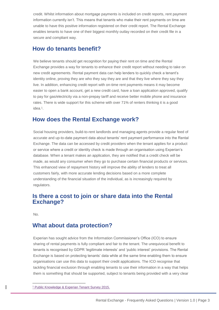credit. Whilst information about mortgage payments is included on credit reports, rent payment information currently isn't. This means that tenants who make their rent payments on time are unable to have this positive information registered on their credit report. The Rental Exchange enables tenants to have one of their biggest monthly outlay recorded on their credit file in a secure and compliant way.

## **How do tenants benefit?**

We believe tenants should get recognition for paying their rent on time and the Rental Exchange provides a way for tenants to enhance their credit report without needing to take on new credit agreements. Rental payment data can help lenders to quickly check a tenant's identity online, proving they are who they say they are and that they live where they say they live. In addition, enhancing credit report with on-time rent payments means it may become easier to open a bank account, get a new credit card, have a loan application approved, qualify to pay for gas/electricity via a non-prepay tariff and receive better mobile phone and insurance rates. There is wide support for this scheme with over 71% of renters thinking it is a good idea. 1 .

## **How does the Rental Exchange work?**

Social housing providers, build-to-rent landlords and managing agents provide a regular feed of accurate and up-to-date payment data about tenants' rent payment performance into the Rental Exchange. The data can be accessed by credit providers when the tenant applies for a product or service where a credit or identity check is made through an organisation using Experian's database. When a tenant makes an application, they are notified that a credit check will be made, as would any consumer when they go to purchase certain financial products or services. This enhanced view of repayment history will improve the ability of lenders to treat all customers fairly, with more accurate lending decisions based on a more complete understanding of the financial situation of the individual, as is increasingly required by regulators.

#### **Is there a cost to join or share data into the Rental Exchange?**

No.

l

## **What about data protection?**

Experian has sought advice from the Information Commissioner's Office (ICO) to ensure sharing of rental payments is fully compliant and fair to the tenant. The unequivocal benefit to tenants is recognised by GDPR 'legitimate interests' and 'public interest' provisions. The Rental Exchange is based on protecting tenants' data while at the same time enabling them to ensure organisations can use this data to support their credit applications. The ICO recognise that tackling financial exclusion through enabling tenants to use their information in a way that helps them is something that should be supported, subject to tenants being provided with a very clear

<sup>1</sup> Public Knowledge & Experian Tenant Survey 2015.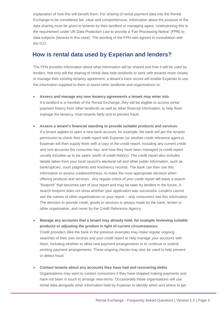explanation of how this will benefit them. For sharing of rental payment data into the Rental Exchange to be considered fair, clear and comprehensive, information about the purpose of the data sharing must be given to tenants by their landlord or managing agent. Underpinning this is the requirement under UK Data Protection Law to provide a 'Fair Processing Notice' (FPN) to data subjects (tenants in this case). The wording of the FPN was agreed in consultation with the ICO.

## **How is rental data used by Experian and lenders?**

The FPN provides information about what information will be shared and how it will be used by lenders. Not only will the sharing of rental data help landlords to work with tenants more closely to manage their existing tenancy agreement, a tenant's track record will enable Experian to use the information supplied to them to assist other landlords and organisations to:

- **Assess and manage any new tenancy agreements a tenant may enter into.** If a landlord is a member of the Rental Exchange, they will be eligible to access rental payment history from other landlords as well as other financial information, to help them manage the tenancy, treat tenants fairly and to prevent fraud.
- **Assess a tenant's financial standing to provide suitable products and services.** If a tenant applies to open a new bank account, for example, the bank will get the tenants permission to check their credit report with Experian (or another credit reference agency). Experian will then supply them with a copy of the credit report, including any current credit and rent accounts the consumer has, and how they have been managed (a credit report usually includes up to six years' worth of credit history). The credit report also includes details taken from your local council's electoral roll and other public information, such as bankruptcies, court judgments and insolvency records. The bank can then use this information to assess creditworthiness, to make the most appropriate decision when offering products and services. Any regular check of your credit report will leave a search "footprint" that becomes part of your report and may be seen by lenders in the future. A search footprint does not show whether your application was successful. Lenders cannot see the names of other organisations on your report – only consumers see this information. The decision to provide credit, goods or services is always made by the bank, lender or other organisation, and never by the Credit Reference Agency.
- **Manage any accounts that a tenant may already hold, for example reviewing suitable products or adjusting the product in light of current circumstances;** Credit providers (like the bank in the previous example) may make regular ongoing searches of their own records and your credit report to help manage your accounts with them, including whether to allow new payment arrangements or to continue or extend existing payment arrangements. These ongoing checks may also be used to help prevent or detect fraud.
- **Contact tenants about any accounts they have had and recovering debts**  Organisations may want to contact consumers if they have stopped making payments and have not been in touch to arrange new terms. Occasionally these organisations will use rental data alongside other information held by Experian to identify when and where to get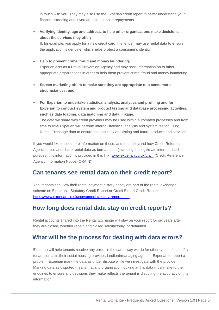in touch with you. They may also use the Experian credit report to better understand your financial standing and if you are able to make repayments.

• **Verifying identity, age and address, to help other organisations make decisions about the services they offer;**

If, for example, you apply for a new credit card, the lender may use rental data to ensure the application is genuine, which helps protect a consumer's identity.

• **Help to prevent crime, fraud and money laundering;** Experian acts as a Fraud Prevention Agency and may pass information on to other appropriate organisations in order to help them prevent crime, fraud and money laundering.

- **Screen marketing offers to make sure they are appropriate to a consumer's circumstances; and**
- **For Experian to undertake statistical analysis, analytics and profiling and for Experian to conduct system and product testing and database processing activities, such as data loading, data matching and data linkage.**  The data we share with credit providers may be used within automated processes and from time to time Experian will perform internal statistical analysis and system testing using Rental Exchange data to ensure the accuracy of existing and future products and services.

If you would like to see more information on these, and to understand how Credit Reference Agencies use and share rental data as bureau data (including the legitimate interests each pursues) this information is provided in this link: [www.experian.co.uk/crain](http://www.experian.co.uk/crain) (Credit Reference Agency Information Notice (CRAIN)).

## **Can tenants see rental data on their credit report?**

Yes, tenants can view their rental payment history if they are part of the rental exchange scheme on Experian's Statutory Credit Report or Credit Expert Credit Report: <https://www.experian.co.uk/consumer/statutory-report.html> .

# **How long does rental data stay on credit reports?**

Rental accounts shared into the Rental Exchange will stay on your report for six years after they are closed, whether repaid and closed satisfactorily, or defaulted.

# **What will be the process for dealing with data errors?**

Experian will help tenants resolve any errors in the same way we do for other types of data. If a tenant contacts their social housing provider, landlord/managing agent or Experian to report a problem, Experian mark the data as under dispute while we investigate with the provider. Marking data as disputed means that any organisation looking at this data must make further enquiries to ensure any decisions they make reflects the tenant is disputing the accuracy of this information.